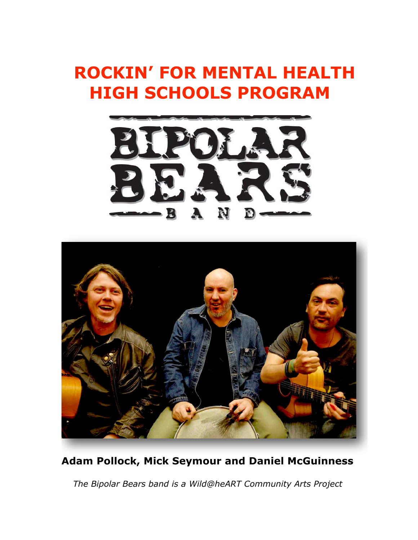## **ROCKIN' FOR MENTAL HEALTH HIGH SCHOOLS PROGRAM**





## **Adam Pollock, Mick Seymour and Daniel McGuinness**

 *The Bipolar Bears band is a Wild@heART Community Arts Project*